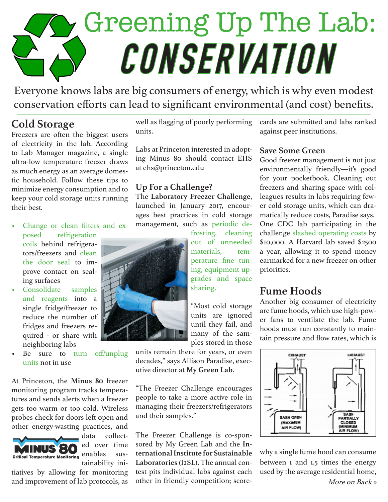# Greening Up The Lab: **CONSERVATION**

Everyone knows labs are big consumers of energy, which is why even modest conservation efforts can lead to significant environmental (and cost) benefits.

# **Cold Storage**

Freezers are often the biggest users of electricity in the lab. According to Lab Manager magazine, a single ultra-low temperature freezer draws as much energy as an average domestic household. Follow these tips to minimize energy consumption and to keep your cold storage units running their best.

- Change or clean filters and exposed refrigeration coils behind refrigerators/freezers and clean the door seal to improve contact on sealing surfaces
- Consolidate samples and reagents into a single fridge/freezer to reduce the number of fridges and freezers required - or share with neighboring labs
- Be sure to turn off/unplug units not in use

At Princeton, the **Minus 80** freezer monitoring program tracks temperatures and sends alerts when a freezer gets too warm or too cold. Wireless probes check for doors left open and other energy-wasting practices, and



data collected over time tainability ini-

tiatives by allowing for monitoring and improvement of lab protocols, as well as flagging of poorly performing units.

Labs at Princeton interested in adopting Minus 80 should contact EHS at ehs@princeton.edu

#### **Up For a Challenge?**

The **Laboratory Freezer Challenge**, launched in January 2017, encourages best practices in cold storage management, such as periodic de-



frosting, cleaning out of unneeded materials, temperature fine tuning, equipment upgrades and space sharing.

"Most cold storage units are ignored until they fail, and many of the samples stored in those

units remain there for years, or even decades," says Allison Paradise, executive director at **My Green Lab**.

"The Freezer Challenge encourages people to take a more active role in managing their freezers/refrigerators and their samples."

The Freezer Challenge is co-sponsored by My Green Lab and the **International Institute for Sustainable Laboratories** (I2SL). The annual contest pits individual labs against each other in friendly competition; scorecards are submitted and labs ranked against peer institutions.

#### **Save Some Green**

Good freezer management is not just environmentally friendly—it's good for your pocketbook. Cleaning out freezers and sharing space with colleagues results in labs requiring fewer cold storage units, which can dramatically reduce costs, Paradise says. One CDC lab participating in the challenge slashed operating costs by \$10,000. A Harvard lab saved \$2500 a year, allowing it to spend money earmarked for a new freezer on other priorities.

#### **Fume Hoods**

Another big consumer of electricity are fume hoods, which use high-power fans to ventilate the lab. Fume hoods must run constantly to maintain pressure and flow rates, which is



why a single fume hood can consume between 1 and 1.5 times the energy used by the average residential home,